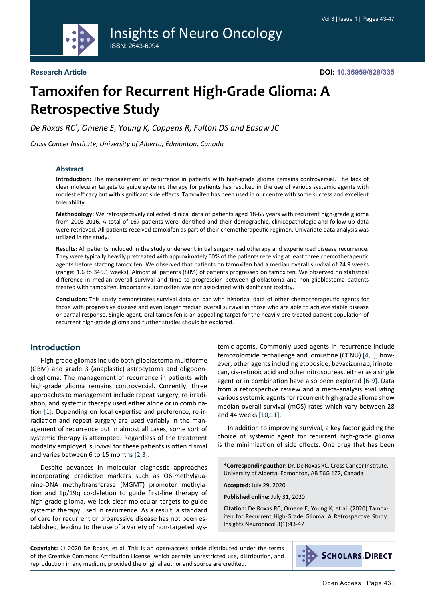

## Insights of Neuro Oncology ISSN: 2643-6094

# **Tamoxifen for Recurrent High-Grade Glioma: A Retrospective Study**

*De Roxas RC\* , Omene E, Young K, Coppens R, Fulton DS and Easaw JC*

*Cross Cancer Institute, University of Alberta, Edmonton, Canada*

#### **Abstract**

**Introduction:** The management of recurrence in patients with high-grade glioma remains controversial. The lack of clear molecular targets to guide systemic therapy for patients has resulted in the use of various systemic agents with modest efficacy but with significant side effects. Tamoxifen has been used in our centre with some success and excellent tolerability.

**Methodology:** We retrospectively collected clinical data of patients aged 18-65 years with recurrent high-grade glioma from 2003-2016. A total of 167 patients were identified and their demographic, clinicopathologic and follow-up data were retrieved. All patients received tamoxifen as part of their chemotherapeutic regimen. Univariate data analysis was utilized in the study.

**Results:** All patients included in the study underwent initial surgery, radiotherapy and experienced disease recurrence. They were typically heavily pretreated with approximately 60% of the patients receiving at least three chemotherapeutic agents before starting tamoxifen. We observed that patients on tamoxifen had a median overall survival of 24.9 weeks (range: 1.6 to 346.1 weeks). Almost all patients (80%) of patients progressed on tamoxifen. We observed no statistical difference in median overall survival and time to progression between glioblastoma and non-glioblastoma patients treated with tamoxifen. Importantly, tamoxifen was not associated with significant toxicity.

**Conclusion:** This study demonstrates survival data on par with historical data of other chemotherapeutic agents for those with progressive disease and even longer median overall survival in those who are able to achieve stable disease or partial response. Single-agent, oral tamoxifen is an appealing target for the heavily pre-treated patient population of recurrent high-grade glioma and further studies should be explored.

## **Introduction**

High-grade gliomas include both glioblastoma multiforme (GBM) and grade 3 (anaplastic) astrocytoma and oligodendroglioma. The management of recurrence in patients with high-grade glioma remains controversial. Currently, three approaches to management include repeat surgery, re-irradiation, and systemic therapy used either alone or in combination [[1\]](#page-3-0). Depending on local expertise and preference, re-irradiation and repeat surgery are used variably in the management of recurrence but in almost all cases, some sort of systemic therapy is attempted. Regardless of the treatment modality employed, survival for these patients is often dismal and varies between 6 to 15 months [\[2,](#page-3-1)[3](#page-3-2)].

Despite advances in molecular diagnostic approaches incorporating predictive markers such as O6-methylguanine-DNA methyltransferase (MGMT) promoter methylation and 1p/19q co-deletion to guide first-line therapy of high-grade glioma, we lack clear molecular targets to guide systemic therapy used in recurrence. As a result, a standard of care for recurrent or progressive disease has not been established, leading to the use of a variety of non-targeted systemic agents. Commonly used agents in recurrence include temozolomide rechallenge and lomustine (CCNU) [\[4](#page-3-3),[5\]](#page-3-4); however, other agents including etoposide, bevacizumab, irinotecan, cis-retinoic acid and other nitrosoureas, either as a single agent or in combination have also been explored [\[6](#page-3-5)-[9](#page-3-6)]. Data from a retrospective review and a meta-analysis evaluating various systemic agents for recurrent high-grade glioma show median overall survival (mOS) rates which vary between 28 and 44 weeks [[10,](#page-3-7)[11](#page-3-8)].

In addition to improving survival, a key factor guiding the choice of systemic agent for recurrent high-grade glioma is the minimization of side effects. One drug that has been

**\*Corresponding author:** Dr. De Roxas RC, Cross Cancer Institute, University of Alberta, Edmonton, AB T6G 1Z2, Canada

**Accepted:** July 29, 2020

**Published online:** July 31, 2020

**Citation:** De Roxas RC, Omene E, Young K, et al. (2020) Tamoxifen for Recurrent High-Grade Glioma: A Retrospective Study. Insights Neurooncol 3(1):43-47

**Copyright:** © 2020 De Roxas, et al. This is an open-access article distributed under the terms of the Creative Commons Attribution License, which permits unrestricted use, distribution, and reproduction in any medium, provided the original author and source are credited.

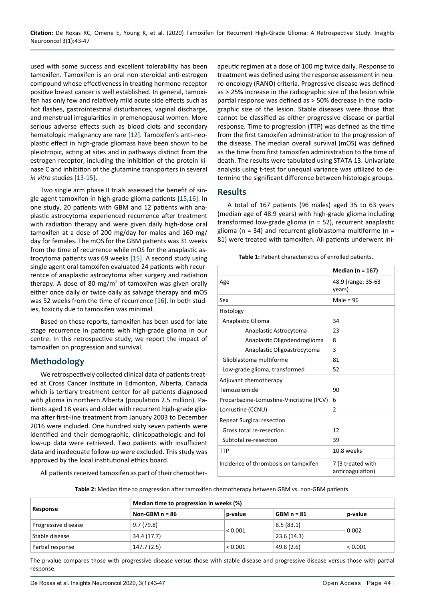used with some success and excellent tolerability has been tamoxifen. Tamoxifen is an oral non-steroidal anti-estrogen compound whose effectiveness in treating hormone receptor positive breast cancer is well established. In general, tamoxifen has only few and relatively mild acute side effects such as hot flashes, gastrointestinal disturbances, vaginal discharge, and menstrual irregularities in premenopausal women. More serious adverse effects such as blood clots and secondary hematologic malignancy are rare [[12](#page-3-9)]. Tamoxifen's anti-neoplastic effect in high-grade gliomass have been shown to be pleiotropic, acting at sites and in pathways distinct from the estrogen receptor, including the inhibition of the protein kinase C and inhibition of the glutamine transporters in several *in vitro* studies [\[13](#page-3-10)-[15\]](#page-3-11).

Two single arm phase II trials assessed the benefit of single agent tamoxifen in high-grade glioma patients [[15](#page-3-11),[16\]](#page-3-12). In one study, 20 patients with GBM and 12 patients with anaplastic astrocytoma experienced recurrence after treatment with radiation therapy and were given daily high-dose oral tamoxifen at a dose of 200 mg/day for males and 160 mg/ day for females. The mOS for the GBM patients was 31 weeks from the time of recurrence while mOS for the anaplastic astrocytoma patients was 69 weeks [[15\]](#page-3-11). A second study using single agent oral tamoxifen evaluated 24 patients with recurrentce of anaplastic astrocytoma after surgery and radiation therapy. A dose of 80 mg/ $m<sup>2</sup>$  of tamoxifen was given orally either once daily or twice daily as salvage therapy and mOS was 52 weeks from the time of recurrence [\[16](#page-3-12)]. In both studies, toxicity due to tamoxifen was minimal.

Based on these reports, tamoxifen has been used for late stage recurrence in patients with high-grade glioma in our centre. In this retrospective study, we report the impact of tamoxifen on progression and survival.

## **Methodology**

We retrospectively collected clinical data of patients treated at Cross Cancer Institute in Edmonton, Alberta, Canada which is tertiary treatment center for all patients diagnosed with glioma in northern Alberta (population 2.5 million). Patients aged 18 years and older with recurrent high-grade glioma after first-line treatment from January 2003 to December 2016 were included. One hundred sixty seven patients were identified and their demographic, clinicopathologic and follow-up data were retrieved. Two patients with insufficient data and inadequate follow-up were excluded. This study was approved by the local institutional ethics board.

All patients received tamoxifen as part of their chemother-

apeutic regimen at a dose of 100 mg twice daily. Response to treatment was defined using the response assessment in neuro-oncology (RANO) criteria. Progressive disease was defined as > 25% increase in the radiographic size of the lesion while partial response was defined as > 50% decrease in the radiographic size of the lesion. Stable diseases were those that cannot be classified as either progressive disease or partial response. Time to progression (TTP) was defined as the time from the first tamoxifen administration to the progression of the disease. The median overall survival (mOS) was defined as the time from first tamoxifen administration to the time of death. The results were tabulated using STATA 13. Univariate analysis using t-test for unequal variance was utilized to determine the significant difference between histologic groups.

## **Results**

A total of 167 patients (96 males) aged 35 to 63 years (median age of 48.9 years) with high-grade glioma including transformed low-grade glioma (n = 52), recurrent anaplastic glioma ( $n = 34$ ) and recurrent glioblastoma multiforme ( $n =$ 81) were treated with tamoxifen. All patients underwent ini-

<span id="page-1-0"></span>

| Table 1: Patient characteristics of enrolled patients. |                               |  |  |
|--------------------------------------------------------|-------------------------------|--|--|
|                                                        | Median (n = $167$ )           |  |  |
| ge                                                     | 48.9 (range: 35-63)<br>years) |  |  |
| ⊇X                                                     | Male = $96$                   |  |  |

|                                          | Median ( $n = 167$ )                  |
|------------------------------------------|---------------------------------------|
| Age                                      | 48.9 (range: 35-63<br>years)          |
| Sex                                      | Male = $96$                           |
| Histology                                |                                       |
| Anaplastic Glioma                        | 34                                    |
| Anaplastic Astrocytoma                   | 23                                    |
| Anaplastic Oligodendroglioma             | 8                                     |
| Anaplastic Oligoastrocytoma              | 3                                     |
| Glioblastoma multiforme                  | 81                                    |
| Low-grade glioma, transformed            | 52                                    |
| Adjuvant chemotherapy                    |                                       |
| Temozolomide                             | 90                                    |
| Procarbazine-Lomustine-Vincristine (PCV) | 6                                     |
| Lomustine (CCNU)                         | $\overline{2}$                        |
| <b>Repeat Surgical resection</b>         |                                       |
| Gross total re-resection                 | 12                                    |
| Subtotal re-resection                    | 39                                    |
| TTP                                      | 10.8 weeks                            |
| Incidence of thrombosis on tamoxifen     | 7 (3 treated with<br>anticoagulation) |

<span id="page-1-1"></span>**Table 2:** Median time to progression after tamoxifen chemotherapy between GBM vs. non-GBM patients.

| Response            | Median time to progression in weeks (%) |         |              |         |  |
|---------------------|-----------------------------------------|---------|--------------|---------|--|
|                     | Non-GBM $n = 86$                        | p-value | $GBM n = 81$ | p-value |  |
| Progressive disease | 9.7(79.8)                               |         | 8.5(83.1)    |         |  |
| Stable disease      | 34.4 (17.7)                             | < 0.001 | 23.6(14.3)   | 0.002   |  |
| Partial response    | 147.7(2.5)                              | < 0.001 | 49.8 (2.6)   | < 0.001 |  |

The p-value compares those with progressive disease versus those with stable disease and progressive disease versus those with partial response.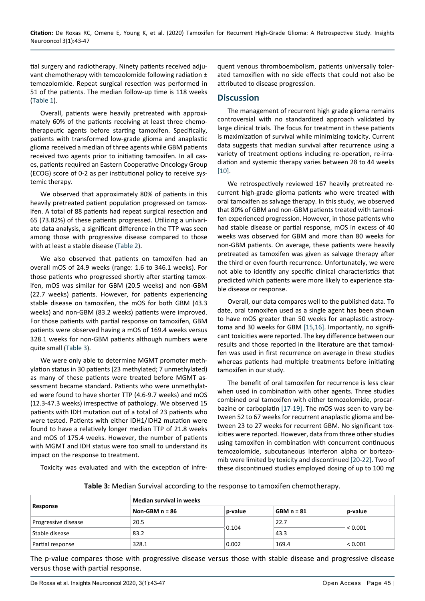tial surgery and radiotherapy. Ninety patients received adjuvant chemotherapy with temozolomide following radiation ± temozolomide. Repeat surgical resection was performed in 51 of the patients. The median follow-up time is 118 weeks ([Table 1](#page-1-0)).

Overall, patients were heavily pretreated with approximately 60% of the patients receiving at least three chemotherapeutic agents before starting tamoxifen. Specifically, patients with transformed low-grade glioma and anaplastic glioma received a median of three agents while GBM patients received two agents prior to initiating tamoxifen. In all cases, patients required an Eastern Cooperative Oncology Group (ECOG) score of 0-2 as per institutional policy to receive systemic therapy.

We observed that approximately 80% of patients in this heavily pretreated patient population progressed on tamoxifen. A total of 88 patients had repeat surgical resection and 65 (73.82%) of these patients progressed. Utilizing a univariate data analysis, a significant difference in the TTP was seen among those with progressive disease compared to those with at least a stable disease [\(Table 2](#page-1-1)).

We also observed that patients on tamoxifen had an overall mOS of 24.9 weeks (range: 1.6 to 346.1 weeks). For those patients who progressed shortly after starting tamoxifen, mOS was similar for GBM (20.5 weeks) and non-GBM (22.7 weeks) patients. However, for patients experiencing stable disease on tamoxifen, the mOS for both GBM (43.3 weeks) and non-GBM (83.2 weeks) patients were improved. For those patients with partial response on tamoxifen, GBM patients were observed having a mOS of 169.4 weeks versus 328.1 weeks for non-GBM patients although numbers were quite small [\(Table 3](#page-2-0)).

We were only able to determine MGMT promoter methylation status in 30 patients (23 methylated; 7 unmethylated) as many of these patients were treated before MGMT assessment became standard. Patients who were unmethylated were found to have shorter TTP (4.6-9.7 weeks) and mOS (12.3-47.3 weeks) irrespective of pathology. We observed 15 patients with IDH mutation out of a total of 23 patients who were tested. Patients with either IDH1/IDH2 mutation were found to have a relatively longer median TTP of 21.8 weeks and mOS of 175.4 weeks. However, the number of patients with MGMT and IDH status were too small to understand its impact on the response to treatment.

Toxicity was evaluated and with the exception of infre-

quent venous thromboembolism, patients universally tolerated tamoxifien with no side effects that could not also be attributed to disease progression.

#### **Discussion**

The management of recurrent high grade glioma remains controversial with no standardized approach validated by large clinical trials. The focus for treatment in these patients is maximization of survival while minimizing toxicity. Current data suggests that median survival after recurrence using a variety of treatment options including re-operation, re-irradiation and systemic therapy varies between 28 to 44 weeks [[10\]](#page-3-7).

We retrospectively reviewed 167 heavily pretreated recurrent high-grade glioma patients who were treated with oral tamoxifen as salvage therapy. In this study, we observed that 80% of GBM and non-GBM patients treated with tamoxifen experienced progression. However, in those patients who had stable disease or partial response, mOS in excess of 40 weeks was observed for GBM and more than 80 weeks for non-GBM patients. On average, these patients were heavily pretreated as tamoxifen was given as salvage therapy after the third or even fourth recurrence. Unfortunately, we were not able to identify any specific clinical characteristics that predicted which patients were more likely to experience stable disease or response.

Overall, our data compares well to the published data. To date, oral tamoxifen used as a single agent has been shown to have mOS greater than 50 weeks for anaplastic astrocytoma and 30 weeks for GBM [\[15](#page-3-11),[16](#page-3-12)]. Importantly, no significant toxicities were reported. The key difference between our results and those reported in the literature are that tamoxifen was used in first recurrence on average in these studies whereas patients had multiple treatments before initiating tamoxifen in our study.

The benefit of oral tamoxifen for recurrence is less clear when used in combination with other agents. Three studies combined oral tamoxifen with either temozolomide, procarbazine or carboplatin [\[17](#page-3-13)-[19](#page-3-14)]. The mOS was seen to vary between 52 to 67 weeks for recurrent anaplastic glioma and between 23 to 27 weeks for recurrent GBM. No significant toxicities were reported. However, data from three other studies using tamoxifen in combination with concurrent continuous temozolomide, subcutaneous interferon alpha or bortezomib were limited by toxicity and discontinued [\[20](#page-3-15)[-22](#page-4-0)]. Two of these discontinued studies employed dosing of up to 100 mg

<span id="page-2-0"></span>**Table 3:** Median Survival according to the response to tamoxifen chemotherapy.

| Response            | Median survival in weeks |         |              |         |  |
|---------------------|--------------------------|---------|--------------|---------|--|
|                     | Non-GBM $n = 86$         | p-value | $GBM n = 81$ | p-value |  |
| Progressive disease | 20.5                     | 0.104   | 22.7         | < 0.001 |  |
| Stable disease      | 83.2                     |         | 43.3         |         |  |
| Partial response    | 328.1                    | 0.002   | 169.4        | < 0.001 |  |

The p-value compares those with progressive disease versus those with stable disease and progressive disease versus those with partial response.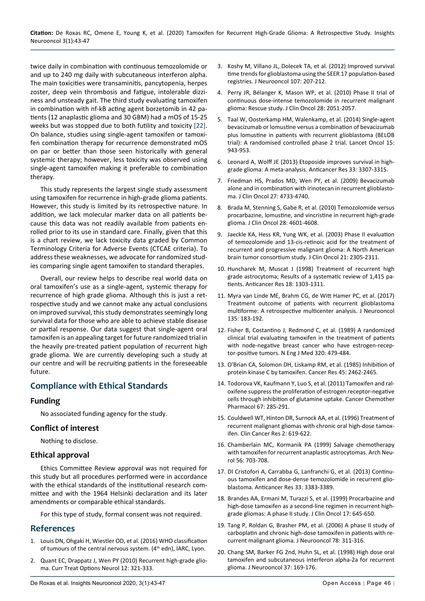twice daily in combination with continuous temozolomide or and up to 240 mg daily with subcutaneous interferon alpha. The main toxicities were transaminitis, pancytopenia, herpes zoster, deep vein thrombosis and fatigue, intolerable dizziness and unsteady gait. The third study evaluating tamoxifen in combination with nf-kB acting agent borzetomib in 42 patients (12 anaplastic glioma and 30 GBM) had a mOS of 15-25 weeks but was stopped due to both futility and toxicity [[22\]](#page-4-0). On balance, studies using single-agent tamoxifen or tamoxifen combination therapy for recurrence demonstrated mOS on par or better than those seen historically with general systemic therapy; however, less toxicity was observed using single-agent tamoxifen making it preferable to combination therapy.

This study represents the largest single study assessment using tamoxifen for recurrence in high-grade glioma patients. However, this study is limited by its retrospective nature. In addition, we lack molecular marker data on all patients because this data was not readily available from patients enrolled prior to its use in standard care. Finally, given that this is a chart review, we lack toxicity data graded by Common Terminology Criteria for Adverse Events (CTCAE criteria). To address these weaknesses, we advocate for randomized studies comparing single agent tamoxifen to standard therapies.

Overall, our review helps to describe real world data on oral tamoxifen's use as a single-agent, systemic therapy for recurrence of high grade glioma. Although this is just a retrospective study and we cannot make any actual conclusions on improved survival, this study demonstrates seemingly long survival data for those who are able to achieve stable disease or partial response. Our data suggest that single-agent oral tamoxifen is an appealing target for future randomized trial in the heavily pre-treated patient population of recurrent high grade glioma. We are currently developing such a study at our centre and will be recruiting patients in the foreseeable future.

## **Compliance with Ethical Standards**

## **Funding**

No associated funding agency for the study.

## **Conflict of interest**

Nothing to disclose.

## **Ethical approval**

Ethics Committee Review approval was not required for this study but all procedures performed were in accordance with the ethical standards of the institutional research committee and with the 1964 Helsinki declaration and its later amendments or comparable ethical standards.

For this type of study, formal consent was not required.

## **References**

- <span id="page-3-0"></span>1. [Louis DN, Ohgaki H, Wiestler OD, et al. \(2016\) WHO classification](https://publications.iarc.fr/Book-And-Report-Series/Who-Classification-Of-Tumours/WHO-Classification-Of-Tumours-Of-The-Central-Nervous-System-2007)  [of tumours of the central nervous system. \(4](https://publications.iarc.fr/Book-And-Report-Series/Who-Classification-Of-Tumours/WHO-Classification-Of-Tumours-Of-The-Central-Nervous-System-2007)<sup>th</sup> edn), IARC, Lyon.
- <span id="page-3-1"></span>[Quant EC, Drappatz J, Wen PY \(2010\) Recurrent high-grade glio](https://pubmed.ncbi.nlm.nih.gov/20842591/)[ma. Curr Treat Options Neurol 12: 321-333.](https://pubmed.ncbi.nlm.nih.gov/20842591/)
- <span id="page-3-2"></span>3. [Koshy M, Villano JL, Dolecek TA, et al. \(2012\) Improved survival](https://www.ncbi.nlm.nih.gov/pmc/articles/PMC4077033/)  [time trends for glioblastoma using the SEER 17 population-based](https://www.ncbi.nlm.nih.gov/pmc/articles/PMC4077033/)  [registries. J Neurooncol 107: 207-212.](https://www.ncbi.nlm.nih.gov/pmc/articles/PMC4077033/)
- <span id="page-3-3"></span>4. [Perry JR, Bélanger K, Mason WP, et al. \(2010\) Phase II trial of](https://pubmed.ncbi.nlm.nih.gov/20308655/)  [continuous dose-intense temozolomide in recurrent malignant](https://pubmed.ncbi.nlm.nih.gov/20308655/)  [glioma: Rescue study. J Clin Oncol 28: 2051-2057.](https://pubmed.ncbi.nlm.nih.gov/20308655/)
- <span id="page-3-4"></span>5. [Taal W, Oosterkamp HM, Walenkamp, et al. \(2014\) Single-agent](https://pubmed.ncbi.nlm.nih.gov/25035291/)  [bevacizumab or lomustine versus a combination of bevacizumab](https://pubmed.ncbi.nlm.nih.gov/25035291/)  [plus lomustine in patients with recurrent glioblastoma \(BELOB](https://pubmed.ncbi.nlm.nih.gov/25035291/)  [trial\): A randomised controlled phase 2 trial. Lancet Oncol 15:](https://pubmed.ncbi.nlm.nih.gov/25035291/)  [943-953.](https://pubmed.ncbi.nlm.nih.gov/25035291/)
- <span id="page-3-5"></span>6. [Leonard A, Wolff JE \(2013\) Etoposide improves survival in high](https://pubmed.ncbi.nlm.nih.gov/23898097/)[grade glioma: A meta-analysis. Anticancer Res 33: 3307-3315.](https://pubmed.ncbi.nlm.nih.gov/23898097/)
- 7. [Friedman HS, Prados MD, Wen PY, et al. \(2009\) Bevacizumab](https://pubmed.ncbi.nlm.nih.gov/19720927/)  [alone and in combination with irinotecan in recurrent glioblasto](https://pubmed.ncbi.nlm.nih.gov/19720927/)[ma. J Clin Oncol 27: 4733-4740.](https://pubmed.ncbi.nlm.nih.gov/19720927/)
- 8. [Brada M, Stenning S, Gabe R, et al. \(2010\) Temozolomide versus](https://pubmed.ncbi.nlm.nih.gov/20855843/)  [procarbazine, lomustine, and vincristine in recurrent high-grade](https://pubmed.ncbi.nlm.nih.gov/20855843/)  [glioma. J Clin Oncol 28: 4601-4608.](https://pubmed.ncbi.nlm.nih.gov/20855843/)
- <span id="page-3-6"></span>9. [Jaeckle KA, Hess KR, Yung WK, et al. \(2003\) Phase II evaluation](https://pubmed.ncbi.nlm.nih.gov/12805331/)  [of temozolomide and 13-cis-retinoic acid for the treatment of](https://pubmed.ncbi.nlm.nih.gov/12805331/)  [recurrent and progressive malignant glioma: A North American](https://pubmed.ncbi.nlm.nih.gov/12805331/)  [brain tumor consortium study. J Clin Oncol 21: 2305-2311.](https://pubmed.ncbi.nlm.nih.gov/12805331/)
- <span id="page-3-7"></span>10. [Huncharek M, Muscat J \(1998\) Treatment of recurrent high](https://pubmed.ncbi.nlm.nih.gov/9615807/)  [grade astrocytoma; Results of a systematic review of 1,415 pa](https://pubmed.ncbi.nlm.nih.gov/9615807/)[tients. Anticancer Res 18: 1303-1311.](https://pubmed.ncbi.nlm.nih.gov/9615807/)
- <span id="page-3-8"></span>11. [Myra van Linde ME, Brahm CG, de Witt Hamer PC, et al. \(2017\)](https://pubmed.ncbi.nlm.nih.gov/28730289/)  [Treatment outcome of patients with recurrent glioblastoma](https://pubmed.ncbi.nlm.nih.gov/28730289/)  [multiforme: A retrospective multicenter analysis. J Neurooncol](https://pubmed.ncbi.nlm.nih.gov/28730289/)  [135: 183-192.](https://pubmed.ncbi.nlm.nih.gov/28730289/)
- <span id="page-3-9"></span>12. [Fisher B, Costantino J, Redmond C, et al. \(1989\) A randomized](https://pubmed.ncbi.nlm.nih.gov/2644532/)  [clinical trial evaluating tamoxifen in the treatment of patients](https://pubmed.ncbi.nlm.nih.gov/2644532/)  [with node-negative breast cancer who have estrogen-recep](https://pubmed.ncbi.nlm.nih.gov/2644532/)[tor-positive tumors. N Eng J Med 320: 479-484.](https://pubmed.ncbi.nlm.nih.gov/2644532/)
- <span id="page-3-10"></span>13. [O'Brian CA, Solomon DH, Liskamp RM, et al. \(1985\) Inhibition of](https://pubmed.ncbi.nlm.nih.gov/3157445/)  [protein kinase C by tamoxifen. Cancer Res 45: 2462-2465.](https://pubmed.ncbi.nlm.nih.gov/3157445/)
- 14. [Todorova VK, Kaufmann Y, Luo S, et al. \(2011\) Tamoxifen and ral](https://pubmed.ncbi.nlm.nih.gov/20383709/)[oxifene suppress the proliferation of estrogen receptor-negative](https://pubmed.ncbi.nlm.nih.gov/20383709/)  [cells through inhibition of glutamine uptake. Cancer Chemother](https://pubmed.ncbi.nlm.nih.gov/20383709/)  [Pharmacol 67: 285-291.](https://pubmed.ncbi.nlm.nih.gov/20383709/)
- <span id="page-3-11"></span>15. [Couldwell WT, Hinton DR, Surnock AA, et al. \(1996\) Treatment of](https://pubmed.ncbi.nlm.nih.gov/9816211/)  [recurrent malignant gliomas with chronic oral high-dose tamox](https://pubmed.ncbi.nlm.nih.gov/9816211/)[ifen. Clin Cancer Res 2: 619-622.](https://pubmed.ncbi.nlm.nih.gov/9816211/)
- <span id="page-3-12"></span>16. [Chamberlain MC, Kormanik PA \(1999\) Salvage chemotherapy](https://pubmed.ncbi.nlm.nih.gov/10369310/)  [with tamoxifen for recurrent anaplastic astrocytomas. Arch Neu](https://pubmed.ncbi.nlm.nih.gov/10369310/)[rol 56: 703-708.](https://pubmed.ncbi.nlm.nih.gov/10369310/)
- <span id="page-3-13"></span>17. [DI Cristofori A, Carrabba G, Lanfranchi G, et al. \(2013\) Continu](https://pubmed.ncbi.nlm.nih.gov/23898108/)[ous tamoxifen and dose-dense temozolomide in recurrent glio](https://pubmed.ncbi.nlm.nih.gov/23898108/)[blastoma. Anticancer Res 33: 3383-3389.](https://pubmed.ncbi.nlm.nih.gov/23898108/)
- 18. [Brandes AA, Ermani M, Turazzi S, et al. \(1999\) Procarbazine and](https://pubmed.ncbi.nlm.nih.gov/10080610/)  [high-dose tamoxifen as a second-line regimen in recurrent high](https://pubmed.ncbi.nlm.nih.gov/10080610/)[grade gliomas: A phase II study. J Clin Oncol 17: 645-650.](https://pubmed.ncbi.nlm.nih.gov/10080610/)
- <span id="page-3-14"></span>19. [Tang P, Roldan G, Brasher PM, et al. \(2006\) A phase II study of](https://pubmed.ncbi.nlm.nih.gov/16710748/)  [carboplatin and chronic high-dose tamoxifen in patients with re](https://pubmed.ncbi.nlm.nih.gov/16710748/)[current malignant glioma. J Neurooncol 78: 311-316.](https://pubmed.ncbi.nlm.nih.gov/16710748/)
- <span id="page-3-15"></span>20. [Chang SM, Barker FG 2nd, Huhn SL, et al. \(1998\) High dose oral](https://pubmed.ncbi.nlm.nih.gov/9524096/)  [tamoxifen and subcutaneous interferon alpha-2a for recurrent](https://pubmed.ncbi.nlm.nih.gov/9524096/)  [glioma. J Neurooncol 37: 169-176.](https://pubmed.ncbi.nlm.nih.gov/9524096/)